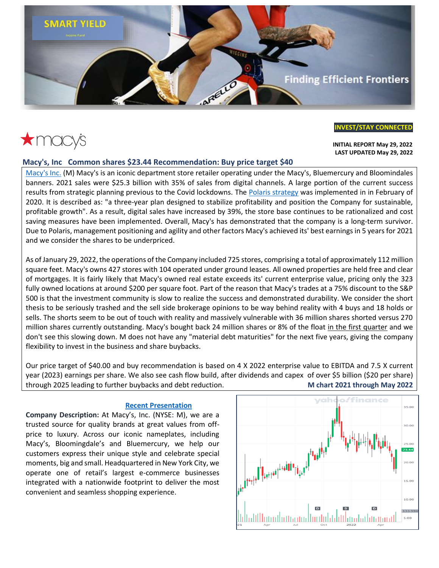

# $\star$ macys

### **[INVEST/STAY](https://www.broxtoncapital.com/contact) CONNECTED**

 **INITIAL REPORT May 29, 2022 LAST UPDATED May 29, 2022**

#### **Macy's, Inc Common shares \$23.44 Recommendation: Buy price target \$40**

[Macy's Inc.](https://www.macysinc.com/investors) (M) Macy's is an iconic department store retailer operating under the Macy's, Bluemercury and Bloomindales banners. 2021 sales were \$25.3 billion with 35% of sales from digital channels. A large portion of the current success results from strategic planning previous to the Covid lockdowns. The [Polaris strategy](https://www.macysinc.com/_assets/_2eef04c0099cb8775634313845481998/macysinc/db/361/6723/pdf/Macys+Fourth+Quarter+2020+Revised+Earnings+Deck+vF.pdf) was implemented in in February of 2020. It is described as: "a three-year plan designed to stabilize profitability and position the Company for sustainable, profitable growth". As a result, digital sales have increased by 39%, the store base continues to be rationalized and cost saving measures have been implemented. Overall, Macy's has demonstrated that the company is a long-term survivor. Due to Polaris, management positioning and agility and other factors Macy's achieved its' best earnings in 5 years for 2021 and we consider the shares to be underpriced.

As of January 29, 2022, the operations of the Company included 725 stores, comprising a total of approximately 112 million square feet. Macy's owns 427 stores with 104 operated under ground leases. All owned properties are held free and clear of mortgages. It is fairly likely that Macy's owned real estate exceeds its' current enterprise value, pricing only the 323 fully owned locations at around \$200 per square foot. Part of the reason that Macy's trades at a 75% discount to the S&P 500 is that the investment community is slow to realize the success and demonstrated durability. We consider the short thesis to be seriously trashed and the sell side brokerage opinions to be way behind reality with 4 buys and 18 holds or sells. The shorts seem to be out of touch with reality and massively vulnerable with 36 million shares shorted versus 270 million shares currently outstanding. Macy's bought back 24 million shares or 8% of the float in the first quarter and we don't see this slowing down. M does not have any "material debt maturities" for the next five years, giving the company flexibility to invest in the business and share buybacks.

Our price target of \$40.00 and buy recommendation is based on 4 X 2022 enterprise value to EBITDA and 7.5 X current year (2023) earnings per share. We also see cash flow build, after dividends and capex of over \$5 billion (\$20 per share) through 2025 leading to further buybacks and debt reduction. **M chart 2021 through May 2022**

#### **[Recent Presentation](https://www.macysinc.com/_assets/_25d867a1214fc07df8d639d2ffb39404/macysinc/db/490/8212/file/Macy%27s%2C+Inc.+First+Quarter+2022+Earnings+Deck+vFINAL.pdf)**

**Company Description:** At Macy's, Inc. (NYSE: M), we are a trusted source for quality brands at great values from offprice to luxury. Across our iconic nameplates, including Macy's, Bloomingdale's and Bluemercury, we help our customers express their unique style and celebrate special moments, big and small. Headquartered in New York City, we operate one of retail's largest e-commerce businesses integrated with a nationwide footprint to deliver the most convenient and seamless shopping experience.

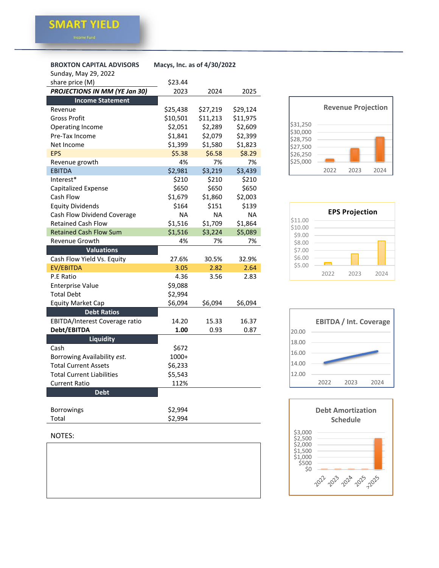#### **[BROXTON CAPITAL ADVISORS M](https://www.broxtoncapital.com/contact)acys, Inc. as of 4/30/2022**

| Sunday, May 29, 2022             |           |           |           |
|----------------------------------|-----------|-----------|-----------|
| share price (M)                  | \$23.44   |           |           |
| PROJECTIONS IN MM (YE Jan 30)    | 2023      | 2024      | 2025      |
| <b>Income Statement</b>          |           |           |           |
| Revenue                          | \$25,438  | \$27,219  | \$29,124  |
| Gross Profit                     | \$10,501  | \$11,213  | \$11,975  |
| <b>Operating Income</b>          | \$2,051   | \$2,289   | \$2,609   |
| Pre-Tax Income                   | \$1,841   | \$2,079   | \$2,399   |
| Net Income                       | \$1,399   | \$1,580   | \$1,823   |
| <b>EPS</b>                       | \$5.38    | \$6.58    | \$8.29    |
| Revenue growth                   | 4%        | 7%        | 7%        |
| <b>EBITDA</b>                    | \$2,981   | \$3,219   | \$3,439   |
| Interest*                        | \$210     | \$210     | \$210     |
| <b>Capitalized Expense</b>       | \$650     | \$650     | \$650     |
| Cash Flow                        | \$1,679   | \$1,860   | \$2,003   |
| <b>Equity Dividends</b>          | \$164     | \$151     | \$139     |
| Cash Flow Dividend Coverage      | <b>NA</b> | <b>NA</b> | <b>NA</b> |
| <b>Retained Cash Flow</b>        | \$1,516   | \$1,709   | \$1,864   |
| <b>Retained Cash Flow Sum</b>    | \$1,516   | \$3,224   | \$5,089   |
| Revenue Growth                   | 4%        | 7%        | 7%        |
| <b>Valuations</b>                |           |           |           |
| Cash Flow Yield Vs. Equity       | 27.6%     | 30.5%     | 32.9%     |
| <b>EV/EBITDA</b>                 | 3.05      | 2.82      | 2.64      |
| P.E Ratio                        | 4.36      | 3.56      | 2.83      |
| <b>Enterprise Value</b>          | \$9,088   |           |           |
| <b>Total Debt</b>                | \$2,994   |           |           |
| <b>Equity Market Cap</b>         | \$6,094   | \$6,094   | \$6,094   |
| <b>Debt Ratios</b>               |           |           |           |
| EBITDA/Interest Coverage ratio   | 14.20     | 15.33     | 16.37     |
| Debt/EBITDA                      | 1.00      | 0.93      | 0.87      |
| <b>Liquidity</b>                 |           |           |           |
| Cash                             | \$672     |           |           |
| Borrowing Availability est.      | 1000+     |           |           |
| <b>Total Current Assets</b>      | \$6,233   |           |           |
| <b>Total Current Liabilities</b> | \$5,543   |           |           |
| Current Ratio                    | 112%      |           |           |
| <b>Debt</b>                      |           |           |           |
| <b>Borrowings</b>                | \$2,994   |           |           |









#### NOTES:

Total \$2,994